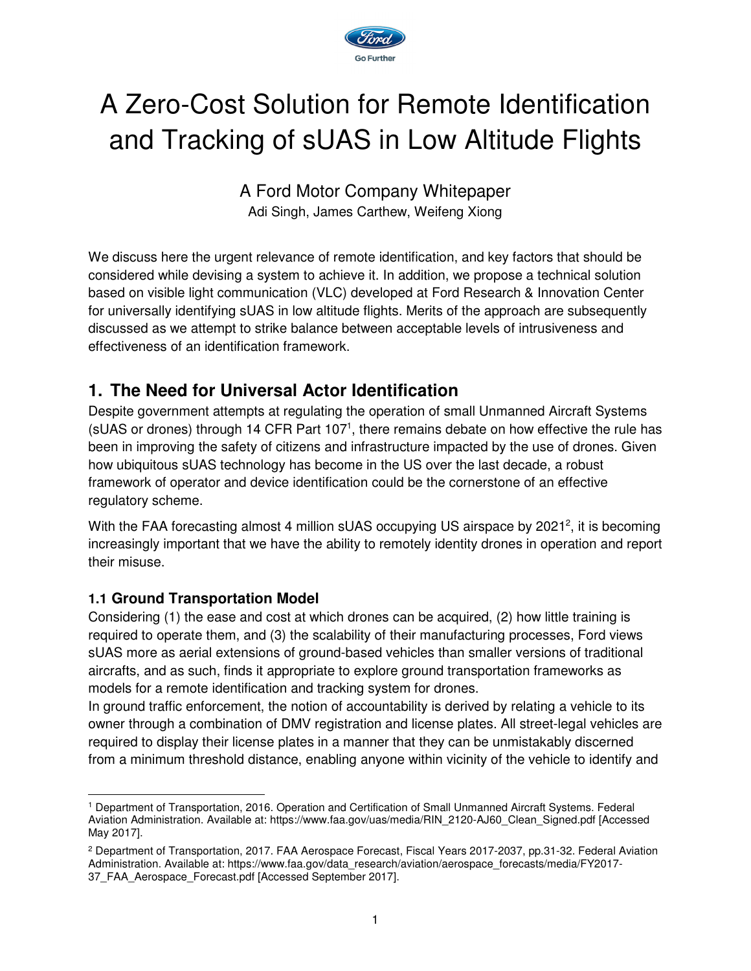

# A Zero-Cost Solution for Remote Identification and Tracking of sUAS in Low Altitude Flights

A Ford Motor Company Whitepaper Adi Singh, James Carthew, Weifeng Xiong

We discuss here the urgent relevance of remote identification, and key factors that should be considered while devising a system to achieve it. In addition, we propose a technical solution based on visible light communication (VLC) developed at Ford Research & Innovation Center for universally identifying sUAS in low altitude flights. Merits of the approach are subsequently discussed as we attempt to strike balance between acceptable levels of intrusiveness and effectiveness of an identification framework.

## **1. The Need for Universal Actor Identification**

Despite government attempts at regulating the operation of small Unmanned Aircraft Systems (sUAS or drones) through 14 CFR Part 107<sup>1</sup>, there remains debate on how effective the rule has been in improving the safety of citizens and infrastructure impacted by the use of drones. Given how ubiquitous sUAS technology has become in the US over the last decade, a robust framework of operator and device identification could be the cornerstone of an effective regulatory scheme.

With the FAA forecasting almost 4 million sUAS occupying US airspace by 2021<sup>2</sup>, it is becoming increasingly important that we have the ability to remotely identity drones in operation and report their misuse.

#### **1.1 Ground Transportation Model**

Considering (1) the ease and cost at which drones can be acquired, (2) how little training is required to operate them, and (3) the scalability of their manufacturing processes, Ford views sUAS more as aerial extensions of ground-based vehicles than smaller versions of traditional aircrafts, and as such, finds it appropriate to explore ground transportation frameworks as models for a remote identification and tracking system for drones.

In ground traffic enforcement, the notion of accountability is derived by relating a vehicle to its owner through a combination of DMV registration and license plates. All street-legal vehicles are required to display their license plates in a manner that they can be unmistakably discerned from a minimum threshold distance, enabling anyone within vicinity of the vehicle to identify and

<sup>-</sup>1 Department of Transportation, 2016. Operation and Certification of Small Unmanned Aircraft Systems. Federal Aviation Administration. Available at: https://www.faa.gov/uas/media/RIN\_2120-AJ60\_Clean\_Signed.pdf [Accessed May 2017].

<sup>2</sup> Department of Transportation, 2017. FAA Aerospace Forecast, Fiscal Years 2017-2037, pp.31-32. Federal Aviation Administration. Available at: https://www.faa.gov/data\_research/aviation/aerospace\_forecasts/media/FY2017-37\_FAA\_Aerospace\_Forecast.pdf [Accessed September 2017].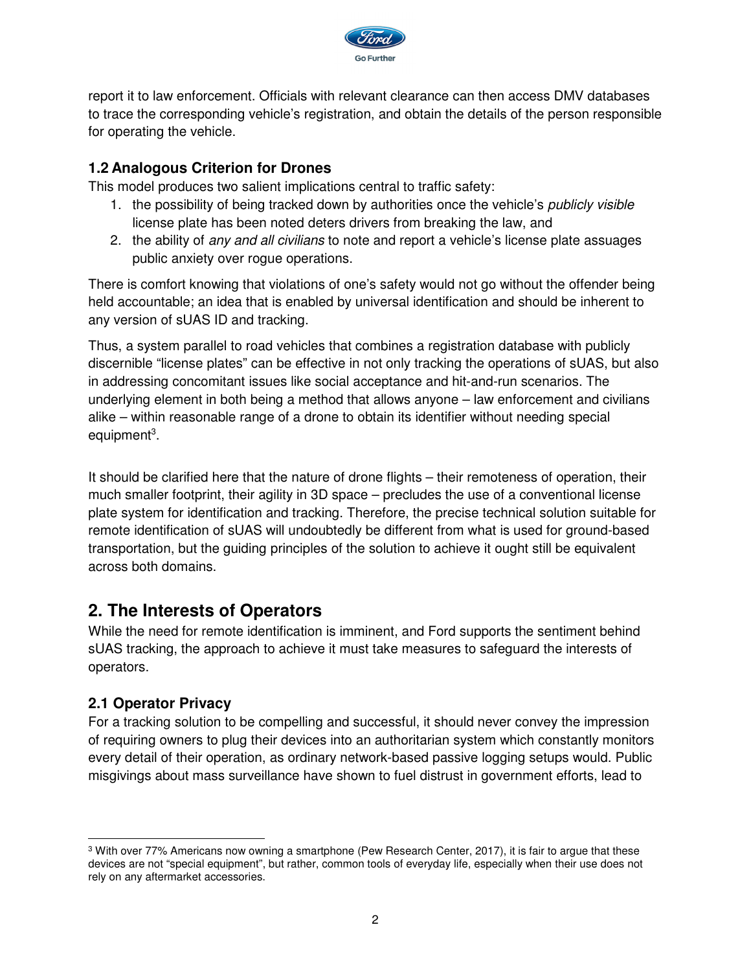

report it to law enforcement. Officials with relevant clearance can then access DMV databases to trace the corresponding vehicle's registration, and obtain the details of the person responsible for operating the vehicle.

#### **1.2 Analogous Criterion for Drones**

This model produces two salient implications central to traffic safety:

- 1. the possibility of being tracked down by authorities once the vehicle's *publicly visible* license plate has been noted deters drivers from breaking the law, and
- 2. the ability of any and all civilians to note and report a vehicle's license plate assuages public anxiety over rogue operations.

There is comfort knowing that violations of one's safety would not go without the offender being held accountable; an idea that is enabled by universal identification and should be inherent to any version of sUAS ID and tracking.

Thus, a system parallel to road vehicles that combines a registration database with publicly discernible "license plates" can be effective in not only tracking the operations of sUAS, but also in addressing concomitant issues like social acceptance and hit-and-run scenarios. The underlying element in both being a method that allows anyone – law enforcement and civilians alike – within reasonable range of a drone to obtain its identifier without needing special equipment<sup>3</sup>.

It should be clarified here that the nature of drone flights – their remoteness of operation, their much smaller footprint, their agility in 3D space – precludes the use of a conventional license plate system for identification and tracking. Therefore, the precise technical solution suitable for remote identification of sUAS will undoubtedly be different from what is used for ground-based transportation, but the guiding principles of the solution to achieve it ought still be equivalent across both domains.

## **2. The Interests of Operators**

While the need for remote identification is imminent, and Ford supports the sentiment behind sUAS tracking, the approach to achieve it must take measures to safeguard the interests of operators.

#### **2.1 Operator Privacy**

For a tracking solution to be compelling and successful, it should never convey the impression of requiring owners to plug their devices into an authoritarian system which constantly monitors every detail of their operation, as ordinary network-based passive logging setups would. Public misgivings about mass surveillance have shown to fuel distrust in government efforts, lead to

<sup>-</sup> $3$  With over 77% Americans now owning a smartphone (Pew Research Center, 2017), it is fair to argue that these devices are not "special equipment", but rather, common tools of everyday life, especially when their use does not rely on any aftermarket accessories.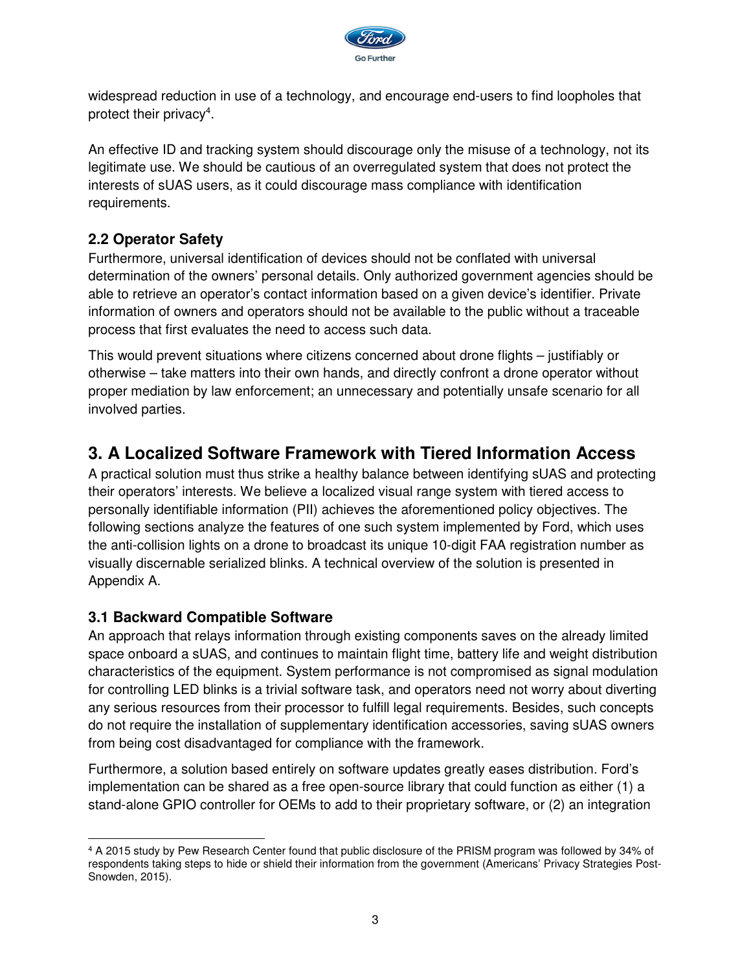

widespread reduction in use of a technology, and encourage end-users to find loopholes that protect their privacy<sup>4</sup>.

An effective ID and tracking system should discourage only the misuse of a technology, not its legitimate use. We should be cautious of an overregulated system that does not protect the interests of sUAS users, as it could discourage mass compliance with identification requirements.

#### **2.2 Operator Safety**

Furthermore, universal identification of devices should not be conflated with universal determination of the owners' personal details. Only authorized government agencies should be able to retrieve an operator's contact information based on a given device's identifier. Private information of owners and operators should not be available to the public without a traceable process that first evaluates the need to access such data.

This would prevent situations where citizens concerned about drone flights – justifiably or otherwise – take matters into their own hands, and directly confront a drone operator without proper mediation by law enforcement; an unnecessary and potentially unsafe scenario for all involved parties.

## **3. A Localized Software Framework with Tiered Information Access**

A practical solution must thus strike a healthy balance between identifying sUAS and protecting their operators' interests. We believe a localized visual range system with tiered access to personally identifiable information (PII) achieves the aforementioned policy objectives. The following sections analyze the features of one such system implemented by Ford, which uses the anti-collision lights on a drone to broadcast its unique 10-digit FAA registration number as visually discernable serialized blinks. A technical overview of the solution is presented in Appendix A.

#### **3.1 Backward Compatible Software**

An approach that relays information through existing components saves on the already limited space onboard a sUAS, and continues to maintain flight time, battery life and weight distribution characteristics of the equipment. System performance is not compromised as signal modulation for controlling LED blinks is a trivial software task, and operators need not worry about diverting any serious resources from their processor to fulfill legal requirements. Besides, such concepts do not require the installation of supplementary identification accessories, saving sUAS owners from being cost disadvantaged for compliance with the framework.

Furthermore, a solution based entirely on software updates greatly eases distribution. Ford's implementation can be shared as a free open-source library that could function as either (1) a stand-alone GPIO controller for OEMs to add to their proprietary software, or (2) an integration

<sup>-</sup>4 A 2015 study by Pew Research Center found that public disclosure of the PRISM program was followed by 34% of respondents taking steps to hide or shield their information from the government (Americans' Privacy Strategies Post-Snowden, 2015).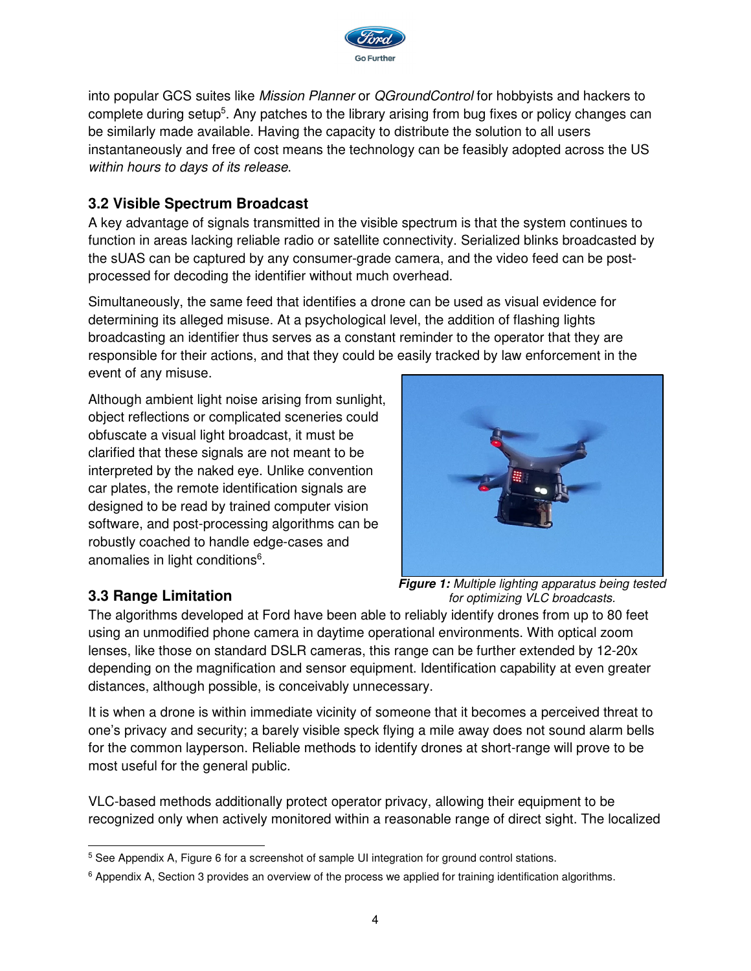

into popular GCS suites like Mission Planner or QGroundControl for hobbyists and hackers to complete during setup<sup>5</sup>. Any patches to the library arising from bug fixes or policy changes can be similarly made available. Having the capacity to distribute the solution to all users instantaneously and free of cost means the technology can be feasibly adopted across the US within hours to days of its release.

#### **3.2 Visible Spectrum Broadcast**

A key advantage of signals transmitted in the visible spectrum is that the system continues to function in areas lacking reliable radio or satellite connectivity. Serialized blinks broadcasted by the sUAS can be captured by any consumer-grade camera, and the video feed can be postprocessed for decoding the identifier without much overhead.

Simultaneously, the same feed that identifies a drone can be used as visual evidence for determining its alleged misuse. At a psychological level, the addition of flashing lights broadcasting an identifier thus serves as a constant reminder to the operator that they are responsible for their actions, and that they could be easily tracked by law enforcement in the event of any misuse.

Although ambient light noise arising from sunlight, object reflections or complicated sceneries could obfuscate a visual light broadcast, it must be clarified that these signals are not meant to be interpreted by the naked eye. Unlike convention car plates, the remote identification signals are designed to be read by trained computer vision software, and post-processing algorithms can be robustly coached to handle edge-cases and anomalies in light conditions<sup>6</sup>.



#### **3.3 Range Limitation**

**Figure 1:** Multiple lighting apparatus being tested for optimizing VLC broadcasts.

The algorithms developed at Ford have been able to reliably identify drones from up to 80 feet using an unmodified phone camera in daytime operational environments. With optical zoom lenses, like those on standard DSLR cameras, this range can be further extended by 12-20x depending on the magnification and sensor equipment. Identification capability at even greater distances, although possible, is conceivably unnecessary.

It is when a drone is within immediate vicinity of someone that it becomes a perceived threat to one's privacy and security; a barely visible speck flying a mile away does not sound alarm bells for the common layperson. Reliable methods to identify drones at short-range will prove to be most useful for the general public.

VLC-based methods additionally protect operator privacy, allowing their equipment to be recognized only when actively monitored within a reasonable range of direct sight. The localized

 5 See Appendix A, Figure 6 for a screenshot of sample UI integration for ground control stations.

<sup>&</sup>lt;sup>6</sup> Appendix A, Section 3 provides an overview of the process we applied for training identification algorithms.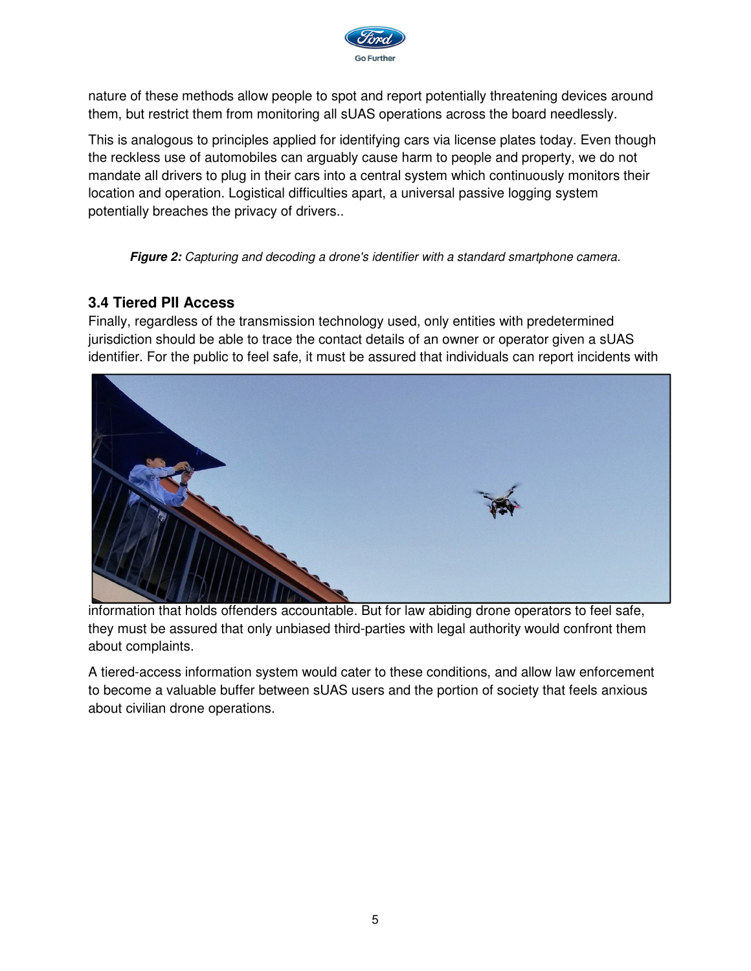

nature of these methods allow people to spot and report potentially threatening devices around them, but restrict them from monitoring all sUAS operations across the board needlessly.

This is analogous to principles applied for identifying cars via license plates today. Even though the reckless use of automobiles can arguably cause harm to people and property, we do not mandate all drivers to plug in their cars into a central system which continuously monitors their location and operation. Logistical difficulties apart, a universal passive logging system potentially breaches the privacy of drivers..

**Figure 2:** Capturing and decoding a drone's identifier with a standard smartphone camera.

#### **3.4 Tiered PII Access**

Finally, regardless of the transmission technology used, only entities with predetermined jurisdiction should be able to trace the contact details of an owner or operator given a sUAS identifier. For the public to feel safe, it must be assured that individuals can report incidents with



information that holds offenders accountable. But for law abiding drone operators to feel safe, they must be assured that only unbiased third-parties with legal authority would confront them about complaints.

A tiered-access information system would cater to these conditions, and allow law enforcement to become a valuable buffer between sUAS users and the portion of society that feels anxious about civilian drone operations.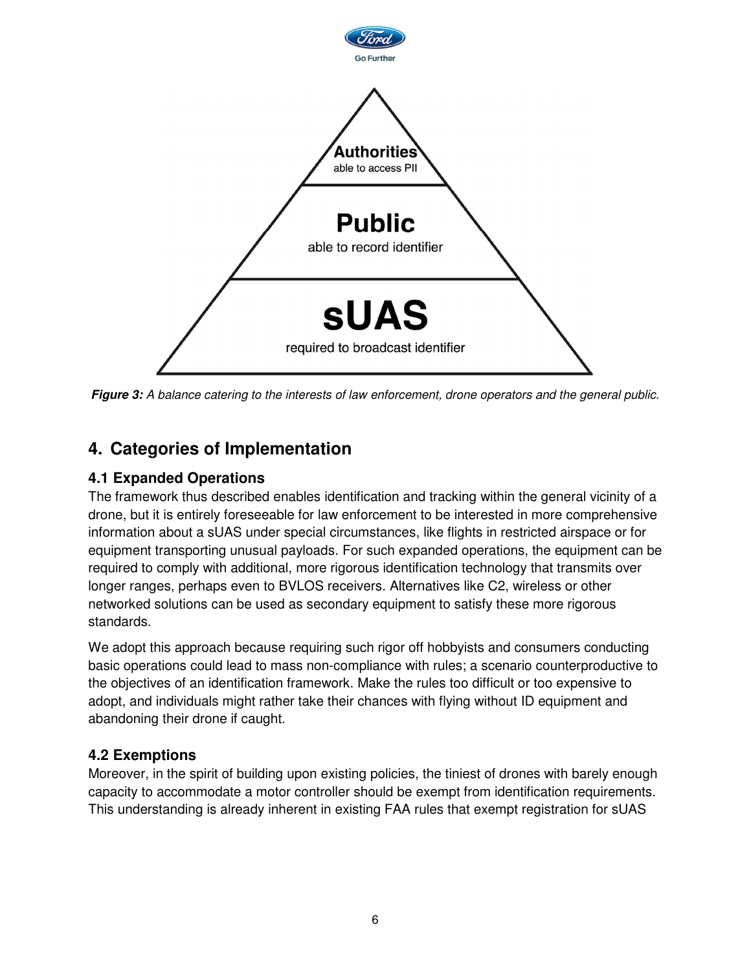

**Figure 3:** A balance catering to the interests of law enforcement, drone operators and the general public.

## **4. Categories of Implementation**

#### **4.1 Expanded Operations**

The framework thus described enables identification and tracking within the general vicinity of a drone, but it is entirely foreseeable for law enforcement to be interested in more comprehensive information about a sUAS under special circumstances, like flights in restricted airspace or for equipment transporting unusual payloads. For such expanded operations, the equipment can be required to comply with additional, more rigorous identification technology that transmits over longer ranges, perhaps even to BVLOS receivers. Alternatives like C2, wireless or other networked solutions can be used as secondary equipment to satisfy these more rigorous standards.

We adopt this approach because requiring such rigor off hobbyists and consumers conducting basic operations could lead to mass non-compliance with rules; a scenario counterproductive to the objectives of an identification framework. Make the rules too difficult or too expensive to adopt, and individuals might rather take their chances with flying without ID equipment and abandoning their drone if caught.

#### **4.2 Exemptions**

Moreover, in the spirit of building upon existing policies, the tiniest of drones with barely enough capacity to accommodate a motor controller should be exempt from identification requirements. This understanding is already inherent in existing FAA rules that exempt registration for sUAS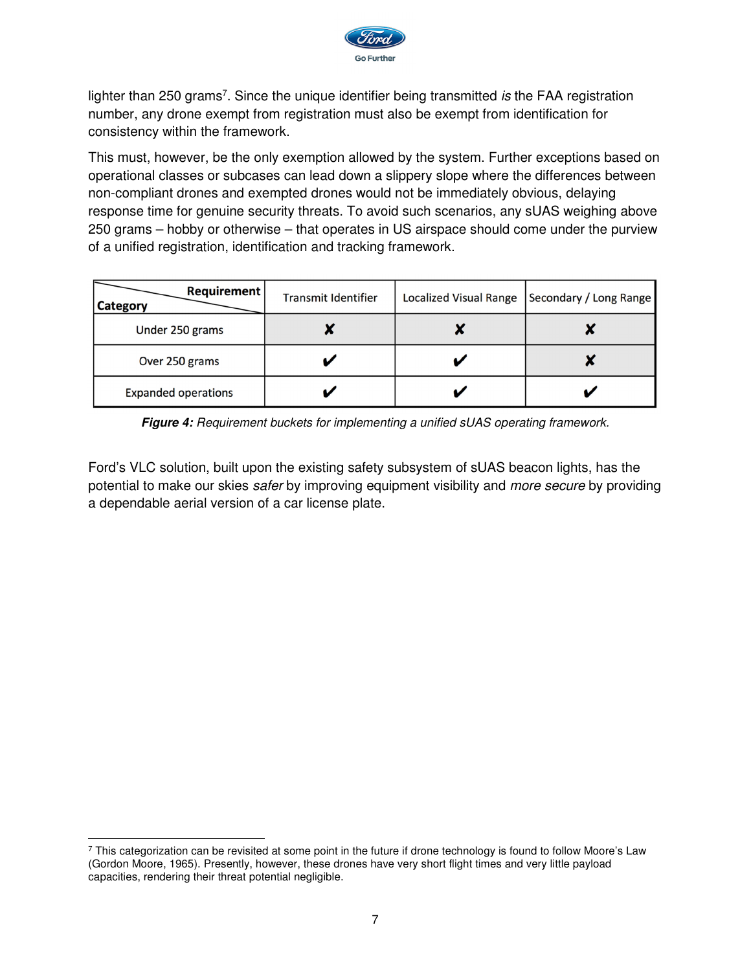

lighter than 250 grams<sup>7</sup>. Since the unique identifier being transmitted is the FAA registration number, any drone exempt from registration must also be exempt from identification for consistency within the framework.

This must, however, be the only exemption allowed by the system. Further exceptions based on operational classes or subcases can lead down a slippery slope where the differences between non-compliant drones and exempted drones would not be immediately obvious, delaying response time for genuine security threats. To avoid such scenarios, any sUAS weighing above 250 grams – hobby or otherwise – that operates in US airspace should come under the purview of a unified registration, identification and tracking framework.

| Requirement<br><b>Category</b> | <b>Transmit Identifier</b> | <b>Localized Visual Range</b> | Secondary / Long Range |
|--------------------------------|----------------------------|-------------------------------|------------------------|
| Under 250 grams                |                            |                               |                        |
| Over 250 grams                 |                            |                               |                        |
| <b>Expanded operations</b>     |                            |                               |                        |

**Figure 4:** Requirement buckets for implementing a unified sUAS operating framework.

Ford's VLC solution, built upon the existing safety subsystem of sUAS beacon lights, has the potential to make our skies safer by improving equipment visibility and more secure by providing a dependable aerial version of a car license plate.

<sup>-</sup> $^7$  This categorization can be revisited at some point in the future if drone technology is found to follow Moore's Law (Gordon Moore, 1965). Presently, however, these drones have very short flight times and very little payload capacities, rendering their threat potential negligible.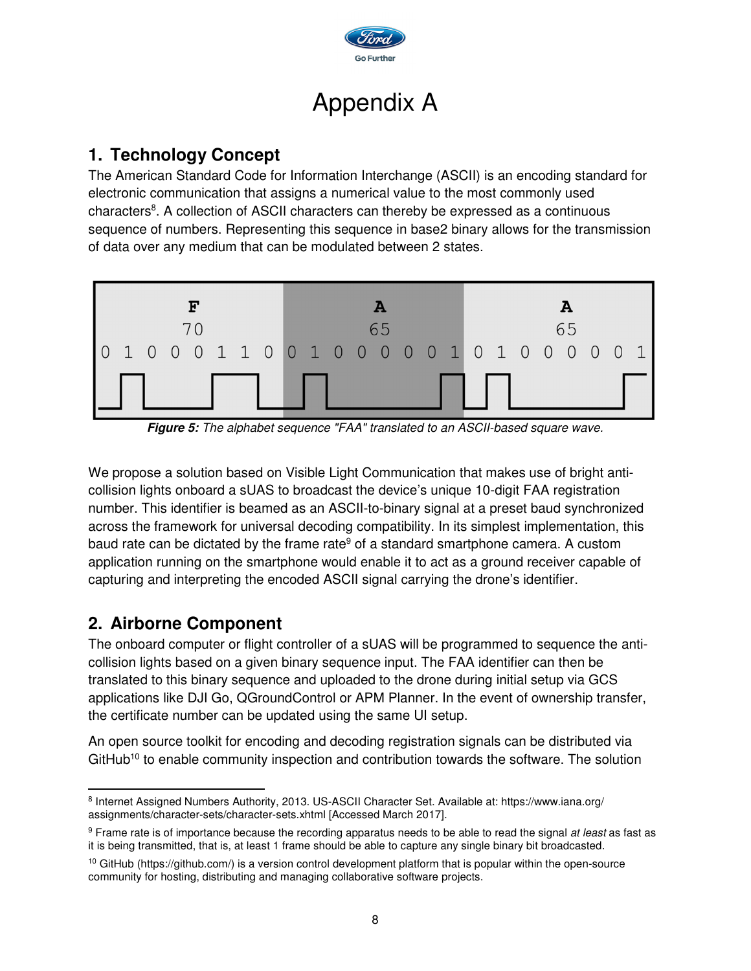

## Appendix A

## **1. Technology Concept**

The American Standard Code for Information Interchange (ASCII) is an encoding standard for electronic communication that assigns a numerical value to the most commonly used characters<sup>8</sup>. A collection of ASCII characters can thereby be expressed as a continuous sequence of numbers. Representing this sequence in base2 binary allows for the transmission of data over any medium that can be modulated between 2 states.



**Figure 5:** The alphabet sequence "FAA" translated to an ASCII-based square wave.

We propose a solution based on Visible Light Communication that makes use of bright anticollision lights onboard a sUAS to broadcast the device's unique 10-digit FAA registration number. This identifier is beamed as an ASCII-to-binary signal at a preset baud synchronized across the framework for universal decoding compatibility. In its simplest implementation, this baud rate can be dictated by the frame rate<sup>9</sup> of a standard smartphone camera. A custom application running on the smartphone would enable it to act as a ground receiver capable of capturing and interpreting the encoded ASCII signal carrying the drone's identifier.

## **2. Airborne Component**

The onboard computer or flight controller of a sUAS will be programmed to sequence the anticollision lights based on a given binary sequence input. The FAA identifier can then be translated to this binary sequence and uploaded to the drone during initial setup via GCS applications like DJI Go, QGroundControl or APM Planner. In the event of ownership transfer, the certificate number can be updated using the same UI setup.

An open source toolkit for encoding and decoding registration signals can be distributed via GitHub<sup>10</sup> to enable community inspection and contribution towards the software. The solution

 $\overline{a}$ <sup>8</sup> Internet Assigned Numbers Authority, 2013. US-ASCII Character Set. Available at: https://www.iana.org/ assignments/character-sets/character-sets.xhtml [Accessed March 2017].

<sup>&</sup>lt;sup>9</sup> Frame rate is of importance because the recording apparatus needs to be able to read the signal *at least* as fast as it is being transmitted, that is, at least 1 frame should be able to capture any single binary bit broadcasted.

<sup>&</sup>lt;sup>10</sup> GitHub (https://github.com/) is a version control development platform that is popular within the open-source community for hosting, distributing and managing collaborative software projects.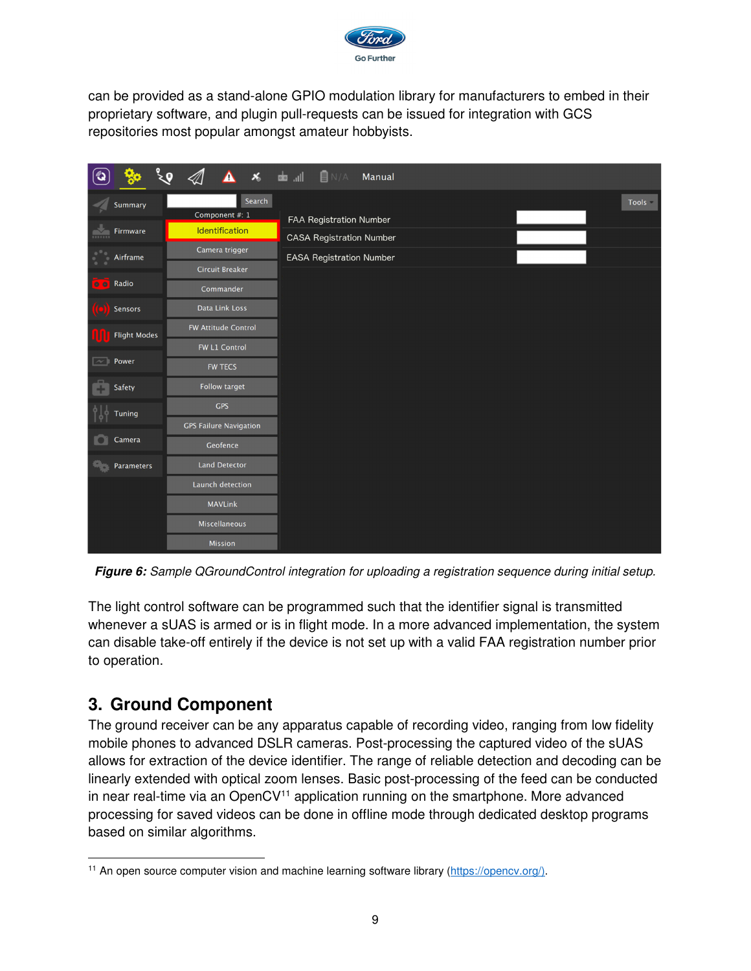

can be provided as a stand-alone GPIO modulation library for manufacturers to embed in their proprietary software, and plugin pull-requests can be issued for integration with GCS repositories most popular amongst amateur hobbyists.

|                          |                   | Δ<br>$\pmb{\times}$           | $\blacksquare$ N/A<br>llı. da<br>Manual |
|--------------------------|-------------------|-------------------------------|-----------------------------------------|
|                          | <b>Summary</b>    | Search                        | Tools =                                 |
|                          |                   | Component #: 1                | FAA Registration Number                 |
|                          | Firmware          | Identification                | <b>CASA</b> Registration Number         |
|                          | Airframe          | Camera trigger                | <b>EASA Registration Number</b>         |
|                          |                   | <b>Circuit Breaker</b>        |                                         |
| $^{\circ}$               | Radio             | Commander                     |                                         |
|                          | Sensors           | Data Link Loss                |                                         |
| <b>Flight Modes</b>      |                   | <b>FW Attitude Control</b>    |                                         |
|                          |                   | FW L1 Control                 |                                         |
| $\overline{\phantom{a}}$ | Power             | <b>FW TECS</b>                |                                         |
|                          | Safety            | <b>Follow target</b>          |                                         |
| <b>Tuning</b>            | <b>GPS</b>        |                               |                                         |
|                          |                   | <b>GPS Failure Navigation</b> |                                         |
|                          | Camera            | Geofence                      |                                         |
|                          | <b>Parameters</b> | <b>Land Detector</b>          |                                         |
|                          |                   | Launch detection              |                                         |
|                          |                   | <b>MAVLink</b>                |                                         |
|                          |                   | <b>Miscellaneous</b>          |                                         |
|                          |                   | <b>Mission</b>                |                                         |

**Figure 6:** Sample QGroundControl integration for uploading a registration sequence during initial setup.

The light control software can be programmed such that the identifier signal is transmitted whenever a sUAS is armed or is in flight mode. In a more advanced implementation, the system can disable take-off entirely if the device is not set up with a valid FAA registration number prior to operation.

## **3. Ground Component**

The ground receiver can be any apparatus capable of recording video, ranging from low fidelity mobile phones to advanced DSLR cameras. Post-processing the captured video of the sUAS allows for extraction of the device identifier. The range of reliable detection and decoding can be linearly extended with optical zoom lenses. Basic post-processing of the feed can be conducted in near real-time via an OpenCV $11$  application running on the smartphone. More advanced processing for saved videos can be done in offline mode through dedicated desktop programs based on similar algorithms.

 $\overline{a}$ <sup>11</sup> An open source computer vision and machine learning software library (https://opencv.org/).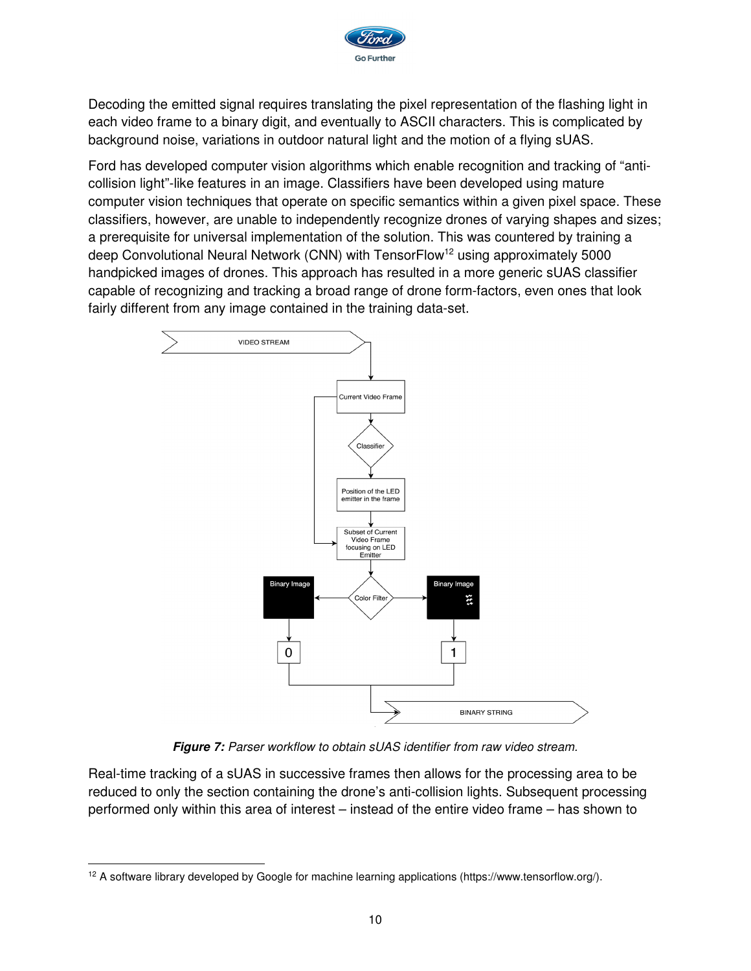

Decoding the emitted signal requires translating the pixel representation of the flashing light in each video frame to a binary digit, and eventually to ASCII characters. This is complicated by background noise, variations in outdoor natural light and the motion of a flying sUAS.

Ford has developed computer vision algorithms which enable recognition and tracking of "anticollision light"-like features in an image. Classifiers have been developed using mature computer vision techniques that operate on specific semantics within a given pixel space. These classifiers, however, are unable to independently recognize drones of varying shapes and sizes; a prerequisite for universal implementation of the solution. This was countered by training a deep Convolutional Neural Network (CNN) with TensorFlow<sup>12</sup> using approximately 5000 handpicked images of drones. This approach has resulted in a more generic sUAS classifier capable of recognizing and tracking a broad range of drone form-factors, even ones that look fairly different from any image contained in the training data-set.



**Figure 7:** Parser workflow to obtain sUAS identifier from raw video stream.

Real-time tracking of a sUAS in successive frames then allows for the processing area to be reduced to only the section containing the drone's anti-collision lights. Subsequent processing performed only within this area of interest – instead of the entire video frame – has shown to

<sup>-</sup>12 A software library developed by Google for machine learning applications (https://www.tensorflow.org/).